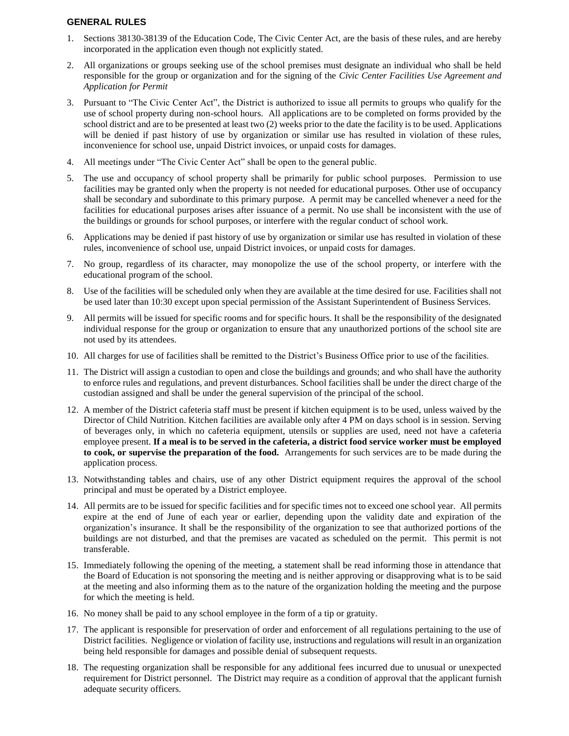## **GENERAL RULES**

- 1. Sections 38130-38139 of the Education Code, The Civic Center Act, are the basis of these rules, and are hereby incorporated in the application even though not explicitly stated.
- 2. All organizations or groups seeking use of the school premises must designate an individual who shall be held responsible for the group or organization and for the signing of the *Civic Center Facilities Use Agreement and Application for Permit*
- 3. Pursuant to "The Civic Center Act", the District is authorized to issue all permits to groups who qualify for the use of school property during non-school hours. All applications are to be completed on forms provided by the school district and are to be presented at least two (2) weeks prior to the date the facility is to be used. Applications will be denied if past history of use by organization or similar use has resulted in violation of these rules, inconvenience for school use, unpaid District invoices, or unpaid costs for damages.
- 4. All meetings under "The Civic Center Act" shall be open to the general public.
- 5. The use and occupancy of school property shall be primarily for public school purposes. Permission to use facilities may be granted only when the property is not needed for educational purposes. Other use of occupancy shall be secondary and subordinate to this primary purpose. A permit may be cancelled whenever a need for the facilities for educational purposes arises after issuance of a permit. No use shall be inconsistent with the use of the buildings or grounds for school purposes, or interfere with the regular conduct of school work.
- 6. Applications may be denied if past history of use by organization or similar use has resulted in violation of these rules, inconvenience of school use, unpaid District invoices, or unpaid costs for damages.
- 7. No group, regardless of its character, may monopolize the use of the school property, or interfere with the educational program of the school.
- 8. Use of the facilities will be scheduled only when they are available at the time desired for use. Facilities shall not be used later than 10:30 except upon special permission of the Assistant Superintendent of Business Services.
- 9. All permits will be issued for specific rooms and for specific hours. It shall be the responsibility of the designated individual response for the group or organization to ensure that any unauthorized portions of the school site are not used by its attendees.
- 10. All charges for use of facilities shall be remitted to the District's Business Office prior to use of the facilities.
- 11. The District will assign a custodian to open and close the buildings and grounds; and who shall have the authority to enforce rules and regulations, and prevent disturbances. School facilities shall be under the direct charge of the custodian assigned and shall be under the general supervision of the principal of the school.
- 12. A member of the District cafeteria staff must be present if kitchen equipment is to be used, unless waived by the Director of Child Nutrition. Kitchen facilities are available only after 4 PM on days school is in session. Serving of beverages only, in which no cafeteria equipment, utensils or supplies are used, need not have a cafeteria employee present. **If a meal is to be served in the cafeteria, a district food service worker must be employed to cook, or supervise the preparation of the food.** Arrangements for such services are to be made during the application process.
- 13. Notwithstanding tables and chairs, use of any other District equipment requires the approval of the school principal and must be operated by a District employee.
- 14. All permits are to be issued for specific facilities and for specific times not to exceed one school year. All permits expire at the end of June of each year or earlier, depending upon the validity date and expiration of the organization's insurance. It shall be the responsibility of the organization to see that authorized portions of the buildings are not disturbed, and that the premises are vacated as scheduled on the permit. This permit is not transferable.
- 15. Immediately following the opening of the meeting, a statement shall be read informing those in attendance that the Board of Education is not sponsoring the meeting and is neither approving or disapproving what is to be said at the meeting and also informing them as to the nature of the organization holding the meeting and the purpose for which the meeting is held.
- 16. No money shall be paid to any school employee in the form of a tip or gratuity.
- 17. The applicant is responsible for preservation of order and enforcement of all regulations pertaining to the use of District facilities. Negligence or violation of facility use, instructions and regulations will result in an organization being held responsible for damages and possible denial of subsequent requests.
- 18. The requesting organization shall be responsible for any additional fees incurred due to unusual or unexpected requirement for District personnel. The District may require as a condition of approval that the applicant furnish adequate security officers.